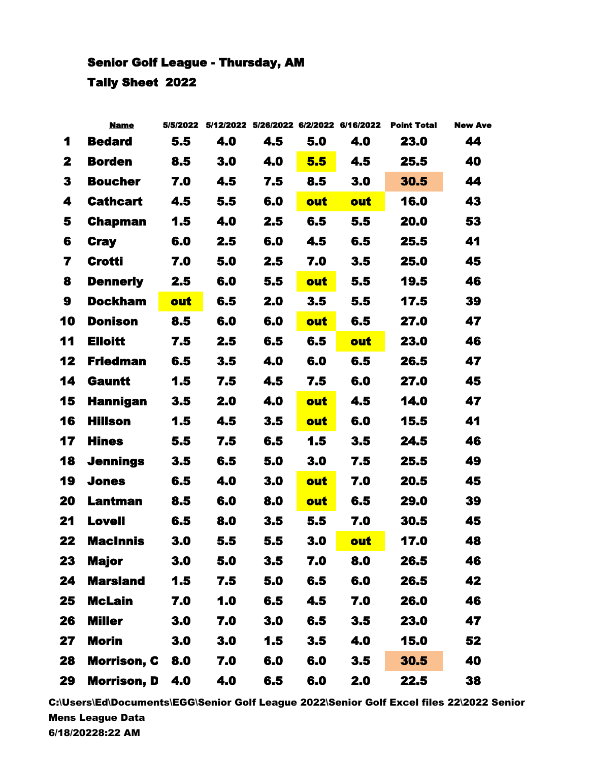## Senior Golf League - Thursday, AM Tally Sheet 2022

|                | <b>Name</b>        | 5/5/2022 |     | 5/12/2022 5/26/2022 6/2/2022 6/16/2022 |     |     | <b>Point Total</b> | <b>New Ave</b> |
|----------------|--------------------|----------|-----|----------------------------------------|-----|-----|--------------------|----------------|
| 1              | <b>Bedard</b>      | 5.5      | 4.0 | 4.5                                    | 5.0 | 4.0 | 23.0               | 44             |
| 2              | <b>Borden</b>      | 8.5      | 3.0 | 4.0                                    | 5.5 | 4.5 | 25.5               | 40             |
| 3              | <b>Boucher</b>     | 7.0      | 4.5 | 7.5                                    | 8.5 | 3.0 | 30.5               | 44             |
| 4              | <b>Cathcart</b>    | 4.5      | 5.5 | 6.0                                    | out | out | 16.0               | 43             |
| 5              | <b>Chapman</b>     | 1.5      | 4.0 | 2.5                                    | 6.5 | 5.5 | 20.0               | 53             |
| 6              | <b>Cray</b>        | 6.0      | 2.5 | 6.0                                    | 4.5 | 6.5 | 25.5               | 41             |
| $\overline{7}$ | <b>Crotti</b>      | 7.0      | 5.0 | 2.5                                    | 7.0 | 3.5 | 25.0               | 45             |
| 8              | <b>Dennerly</b>    | 2.5      | 6.0 | 5.5                                    | out | 5.5 | 19.5               | 46             |
| 9              | <b>Dockham</b>     | out      | 6.5 | 2.0                                    | 3.5 | 5.5 | 17.5               | 39             |
| 10             | <b>Donison</b>     | 8.5      | 6.0 | 6.0                                    | out | 6.5 | 27.0               | 47             |
| 11             | <b>Elloitt</b>     | 7.5      | 2.5 | 6.5                                    | 6.5 | out | 23.0               | 46             |
| 12             | <b>Friedman</b>    | 6.5      | 3.5 | 4.0                                    | 6.0 | 6.5 | 26.5               | 47             |
| 14             | <b>Gauntt</b>      | 1.5      | 7.5 | 4.5                                    | 7.5 | 6.0 | 27.0               | 45             |
| 15             | <b>Hannigan</b>    | 3.5      | 2.0 | 4.0                                    | out | 4.5 | 14.0               | 47             |
| 16             | <b>Hillson</b>     | 1.5      | 4.5 | 3.5                                    | out | 6.0 | 15.5               | 41             |
| 17             | <b>Hines</b>       | 5.5      | 7.5 | 6.5                                    | 1.5 | 3.5 | 24.5               | 46             |
| 18             | <b>Jennings</b>    | 3.5      | 6.5 | 5.0                                    | 3.0 | 7.5 | 25.5               | 49             |
| 19             | <b>Jones</b>       | 6.5      | 4.0 | 3.0                                    | out | 7.0 | 20.5               | 45             |
| 20             | <b>Lantman</b>     | 8.5      | 6.0 | 8.0                                    | out | 6.5 | 29.0               | 39             |
| 21             | <b>Lovell</b>      | 6.5      | 8.0 | 3.5                                    | 5.5 | 7.0 | 30.5               | 45             |
| 22             | <b>MacInnis</b>    | 3.0      | 5.5 | 5.5                                    | 3.0 | out | 17.0               | 48             |
| 23             | <b>Major</b>       | 3.0      | 5.0 | 3.5                                    | 7.0 | 8.0 | 26.5               | 46             |
| 24             | <b>Marsland</b>    | 1.5      | 7.5 | 5.0                                    | 6.5 | 6.0 | 26.5               | 42             |
| 25             | <b>McLain</b>      | 7.0      | 1.0 | 6.5                                    | 4.5 | 7.0 | 26.0               | 46             |
| 26             | <b>Miller</b>      | 3.0      | 7.0 | 3.0                                    | 6.5 | 3.5 | 23.0               | 47             |
| 27             | <b>Morin</b>       | 3.0      | 3.0 | 1.5                                    | 3.5 | 4.0 | 15.0               | 52             |
| 28             | <b>Morrison, C</b> | 8.0      | 7.0 | 6.0                                    | 6.0 | 3.5 | 30.5               | 40             |
| 29             | <b>Morrison, D</b> | 4.0      | 4.0 | 6.5                                    | 6.0 | 2.0 | 22.5               | 38             |

C:\Users\Ed\Documents\EGG\Senior Golf League 2022\Senior Golf Excel files 22\2022 Senior Mens League Data 6/18/20228:22 AM